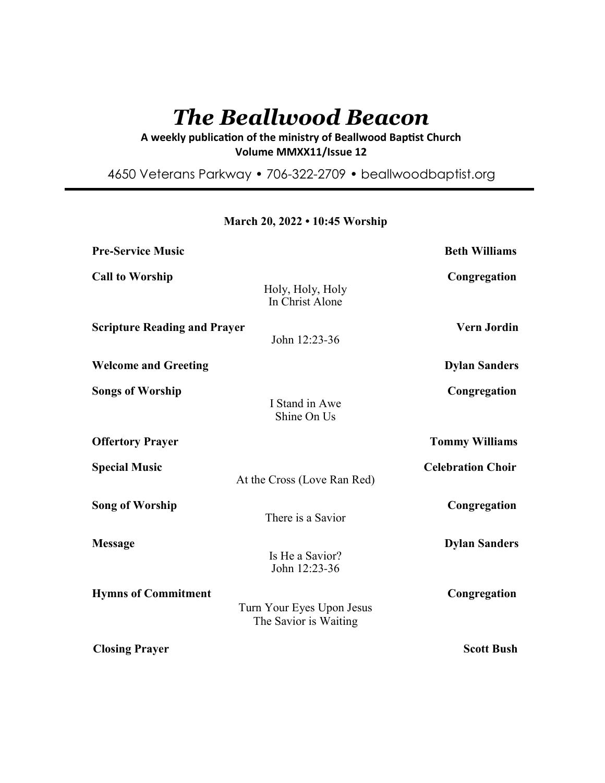# *The Beallwood Beacon*

# A weekly publication of the ministry of Beallwood Baptist Church **Volume MMXX11/Issue 12**

4650 Veterans Parkway • 706-322-2709 • beallwoodbaptist.org

| <b>Pre-Service Music</b>                                                         | <b>Beth Williams</b>     |
|----------------------------------------------------------------------------------|--------------------------|
| <b>Call to Worship</b><br>Holy, Holy, Holy<br>In Christ Alone                    | Congregation             |
| <b>Scripture Reading and Prayer</b><br>John 12:23-36                             | <b>Vern Jordin</b>       |
| <b>Welcome and Greeting</b>                                                      | <b>Dylan Sanders</b>     |
| <b>Songs of Worship</b><br>I Stand in Awe<br>Shine On Us                         | Congregation             |
| <b>Offertory Prayer</b>                                                          | <b>Tommy Williams</b>    |
| <b>Special Music</b><br>At the Cross (Love Ran Red)                              | <b>Celebration Choir</b> |
| <b>Song of Worship</b><br>There is a Savior                                      | Congregation             |
| <b>Message</b><br>Is He a Savior?<br>John 12:23-36                               | <b>Dylan Sanders</b>     |
| <b>Hymns of Commitment</b><br>Turn Your Eyes Upon Jesus<br>The Savior is Waiting | Congregation             |
| <b>Closing Prayer</b>                                                            | <b>Scott Bush</b>        |

# **March 20, 2022 • 10:45 Worship**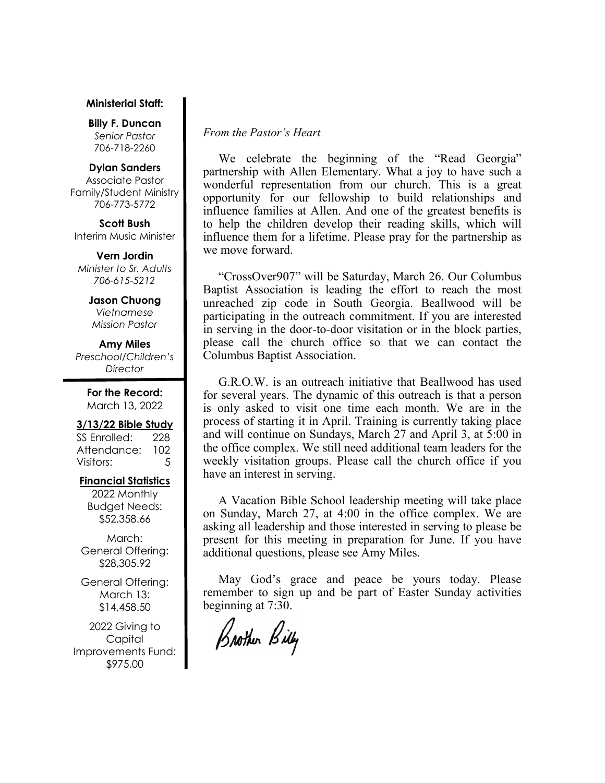#### **Ministerial Staff:**

**Billy F. Duncan** *Senior Pastor*  706-718-2260

#### **Dylan Sanders**

Associate Pastor Family/Student Ministry 706-773-5772

**Scott Bush**  Interim Music Minister

**Vern Jordin** *Minister to Sr. Adults 706-615-5212* 

> **Jason Chuong**  *Vietnamese Mission Pastor*

**Amy Miles** *Preschool/Children's Director* 

> **For the Record:**  March 13, 2022

#### **3/13/22 Bible Study**

SS Enrolled: 228 Attendance: 102 Visitors: 5

#### **Financial Statistics**

2022 Monthly Budget Needs: \$52,358.66

March: General Offering: \$28,305.92

General Offering: March 13: \$14,458.50

2022 Giving to Capital Improvements Fund: \$975.00

## *From the Pastor's Heart*

We celebrate the beginning of the "Read Georgia" partnership with Allen Elementary. What a joy to have such a wonderful representation from our church. This is a great opportunity for our fellowship to build relationships and influence families at Allen. And one of the greatest benefits is to help the children develop their reading skills, which will influence them for a lifetime. Please pray for the partnership as we move forward.

 "CrossOver907" will be Saturday, March 26. Our Columbus Baptist Association is leading the effort to reach the most unreached zip code in South Georgia. Beallwood will be participating in the outreach commitment. If you are interested in serving in the door-to-door visitation or in the block parties, please call the church office so that we can contact the Columbus Baptist Association.

 G.R.O.W. is an outreach initiative that Beallwood has used for several years. The dynamic of this outreach is that a person is only asked to visit one time each month. We are in the process of starting it in April. Training is currently taking place and will continue on Sundays, March 27 and April 3, at 5:00 in the office complex. We still need additional team leaders for the weekly visitation groups. Please call the church office if you have an interest in serving.

 A Vacation Bible School leadership meeting will take place on Sunday, March 27, at 4:00 in the office complex. We are asking all leadership and those interested in serving to please be present for this meeting in preparation for June. If you have additional questions, please see Amy Miles.

 May God's grace and peace be yours today. Please remember to sign up and be part of Easter Sunday activities beginning at 7:30.

Brother Billy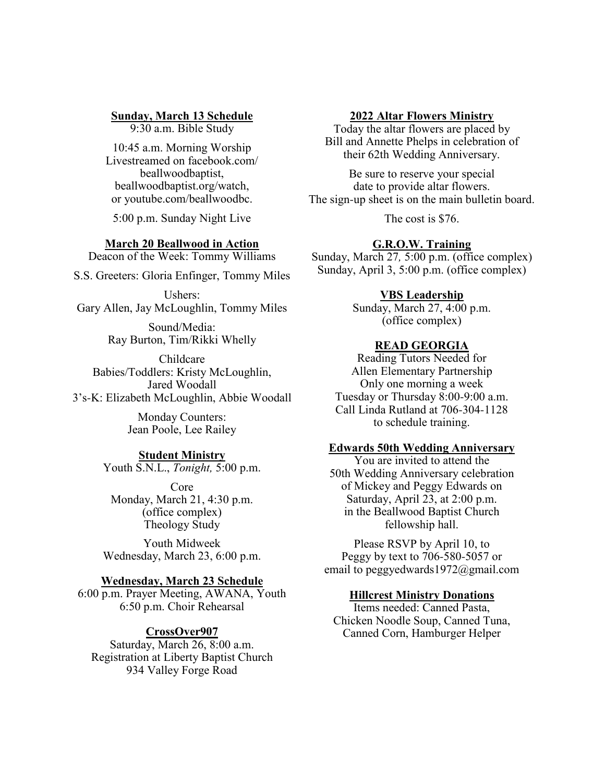# **Sunday, March 13 Schedule**

9:30 a.m. Bible Study

10:45 a.m. Morning Worship Livestreamed on facebook.com/ beallwoodbaptist, beallwoodbaptist.org/watch, or youtube.com/beallwoodbc.

5:00 p.m. Sunday Night Live

#### **March 20 Beallwood in Action**

Deacon of the Week: Tommy Williams

S.S. Greeters: Gloria Enfinger, Tommy Miles

Ushers: Gary Allen, Jay McLoughlin, Tommy Miles

> Sound/Media: Ray Burton, Tim/Rikki Whelly

Childcare Babies/Toddlers: Kristy McLoughlin, Jared Woodall 3's-K: Elizabeth McLoughlin, Abbie Woodall

> Monday Counters: Jean Poole, Lee Railey

#### **Student Ministry**

Youth S.N.L., *Tonight,* 5:00 p.m.

Core Monday, March 21, 4:30 p.m. (office complex) Theology Study

Youth Midweek Wednesday, March 23, 6:00 p.m.

#### **Wednesday, March 23 Schedule**

6:00 p.m. Prayer Meeting, AWANA, Youth 6:50 p.m. Choir Rehearsal

#### **CrossOver907**

Saturday, March 26, 8:00 a.m. Registration at Liberty Baptist Church 934 Valley Forge Road

#### **2022 Altar Flowers Ministry**

Today the altar flowers are placed by Bill and Annette Phelps in celebration of their 62th Wedding Anniversary.

Be sure to reserve your special date to provide altar flowers. The sign-up sheet is on the main bulletin board.

The cost is \$76.

## **G.R.O.W. Training**

Sunday, March 27*,* 5:00 p.m. (office complex) Sunday, April 3, 5:00 p.m. (office complex)

#### **VBS Leadership**

Sunday, March 27, 4:00 p.m. (office complex)

#### **READ GEORGIA**

Reading Tutors Needed for Allen Elementary Partnership Only one morning a week Tuesday or Thursday 8:00-9:00 a.m. Call Linda Rutland at 706-304-1128 to schedule training.

#### **Edwards 50th Wedding Anniversary**

You are invited to attend the 50th Wedding Anniversary celebration of Mickey and Peggy Edwards on Saturday, April 23, at 2:00 p.m. in the Beallwood Baptist Church fellowship hall.

Please RSVP by April 10, to Peggy by text to 706-580-5057 or email to peggyedwards1972@gmail.com

#### **Hillcrest Ministry Donations**

Items needed: Canned Pasta, Chicken Noodle Soup, Canned Tuna, Canned Corn, Hamburger Helper